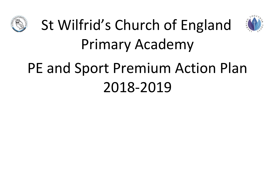



## St Wilfrid's Church of England Primary Academy

## PE and Sport Premium Action Plan 2018-2019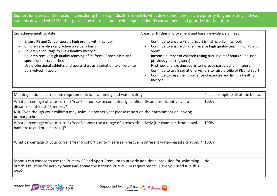Support for review and reflection - considering the 5 key indicators from DfE, what development needs are a priority for your setting and your students now and why? Use the space below to reflect on previous spend, identify current need and priorities for the future.

| Key achievements to date:                                                                                                                                                                                                                                                                                                                                               | Areas for further improvement and baseline evidence of need:                                                                                                                                                                                                                                                                                                                                                                                                                       |  |  |
|-------------------------------------------------------------------------------------------------------------------------------------------------------------------------------------------------------------------------------------------------------------------------------------------------------------------------------------------------------------------------|------------------------------------------------------------------------------------------------------------------------------------------------------------------------------------------------------------------------------------------------------------------------------------------------------------------------------------------------------------------------------------------------------------------------------------------------------------------------------------|--|--|
| Ensure PE and School sport is high profile within school<br>Children are physically active on a daily basis<br>Children encourage to live a healthy lifestyle<br>Children receive high quality teaching of PE from PE specialists and<br>specialist sports coaches.<br>Use professional athletes and sports stars as inspiration to children to<br>be involved in sport | Continue to ensure PE and Sport is high profile in school.<br>Continue to ensure children receive high quality teaching of PE and<br>Sport.<br>Increase number of children taking part in out of hours clubs. (see<br>previous years registers)<br>Find new and exciting sports to increase participation in sport.<br>Continue to use inspirational visitors to raise profile of PE and Sport.<br>Continue to raise the importance of exercise and living a healthy<br>lifestyle. |  |  |

| Meeting national curriculum requirements for swimming and water safety                                                                                                                                                                                            | Please complete all of the below: |
|-------------------------------------------------------------------------------------------------------------------------------------------------------------------------------------------------------------------------------------------------------------------|-----------------------------------|
| What percentage of your current Year 6 cohort swim competently, confidently and proficiently over a<br>distance of at least 25 metres?<br>N.B. Even though your children may swim in another year please report on their attainment on leaving<br>primary school. | 100%                              |
| What percentage of your current Year 6 cohort use a range of strokes effectively [for example, front crawl,<br>backstroke and breaststroke]?                                                                                                                      | 100%                              |
| What percentage of your current Year 6 cohort perform safe self-rescue in different water-based situations? 100%                                                                                                                                                  |                                   |
| Schools can choose to use the Primary PE and Sport Premium to provide additional provision for swimming<br>but this must be for activity over and above the national curriculum requirements. Have you used it in this<br>way?                                    | <b>No</b>                         |



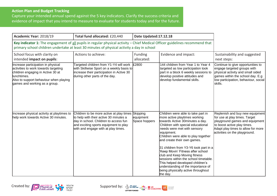## **Action Plan and Budget Tracking**

Capture your intended annual spend against the 5 key indicators. Clarify the success criteria and evidence of impact that you intend to measure to evaluate for students today and for the future.

| Academic Year: 2018/19                                                                                                                                                                                                     | Total fund allocated: £20,440                                                                                                                                                                               | Date Updated:17.12.18                  |                                                                                                                                                                                                                                                                                                                                                                                                                                                                                                                                                  |                                                                                                                                                                                                          |
|----------------------------------------------------------------------------------------------------------------------------------------------------------------------------------------------------------------------------|-------------------------------------------------------------------------------------------------------------------------------------------------------------------------------------------------------------|----------------------------------------|--------------------------------------------------------------------------------------------------------------------------------------------------------------------------------------------------------------------------------------------------------------------------------------------------------------------------------------------------------------------------------------------------------------------------------------------------------------------------------------------------------------------------------------------------|----------------------------------------------------------------------------------------------------------------------------------------------------------------------------------------------------------|
| Key indicator 1: The engagement of all pupils in regular physical activity - Chief Medical Officer guidelines recommend that<br>primary school children undertake at least 30 minutes of physical activity a day in school |                                                                                                                                                                                                             |                                        |                                                                                                                                                                                                                                                                                                                                                                                                                                                                                                                                                  |                                                                                                                                                                                                          |
| School focus with clarity on<br>intended impact on pupils:                                                                                                                                                                 | Actions to achieve:                                                                                                                                                                                         | Funding<br>allocated:                  | Evidence and impact:                                                                                                                                                                                                                                                                                                                                                                                                                                                                                                                             | Sustainability and suggested<br>next steps:                                                                                                                                                              |
| Increase participation in physical<br>activities to work towards targeting<br>children engaging in Active 30 at<br>lunchtimes.<br>Also to support behaviour when playing<br>games and working as a group.                  | Targeted children from Y1-Y4 will work<br>with Skillwise Sport on a weekly basis to<br>increase their participation in Active 30<br>during other parts of the day.                                          | E2800                                  | 144 children from Year 1 to Year 4<br>targeted as low participation took<br>part in a block 6 weekly sessions to<br>develop positive attitudes and<br>develop fundamental skills.                                                                                                                                                                                                                                                                                                                                                                | Continue to give opportunities to<br>engage targeted groups with<br>physical activity and small sided<br>games within the school day. E.g<br>low participation, behaviour, social<br>skills.             |
| Increase physical activity at playtimes to<br>help work towards Active 30 minutes.                                                                                                                                         | Children to be more active at play times<br>to help with their active 30 minutes a<br>day in school. Children to access fun<br>and exciting sports equipment to play<br>with and engage with at play times. | Skipping<br>equipment<br>Space hoppers | Children were able to take part in<br>more active playtimes working<br>towards Active 30minutes a day.<br>Children with special educational<br>needs were met with sensory<br>equipment.<br>Children were able to play together<br>and create their own games.<br>31 children from Y3-Y6 took part in a<br>Keep Movin' Fitness after school<br>club and Keep Moving fitness<br>sessions within the school timetable.<br>This helped developed children's<br>understanding of the importance of<br>being physically active throughout<br>the day. | Replenish and buy new equipment<br>for use at play times. Target<br>playground games and equipment<br>to boost active play times.<br>Adapt play times to allow for more<br>activities on the playground. |



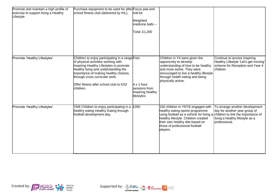| Promote and maintain a high profile of<br>exercise to support living a Healthy<br>Lifestyle | Purchase equipment to be used for after Focus pad and<br>school fitness club (delivered by IHL).                                                                                                                                                                                                            | mitt kit<br>Weighted<br>medicine balls -<br>Total: £1,200             |                                                                                                                                                                                                                                           |                                                                                                                                                           |
|---------------------------------------------------------------------------------------------|-------------------------------------------------------------------------------------------------------------------------------------------------------------------------------------------------------------------------------------------------------------------------------------------------------------|-----------------------------------------------------------------------|-------------------------------------------------------------------------------------------------------------------------------------------------------------------------------------------------------------------------------------------|-----------------------------------------------------------------------------------------------------------------------------------------------------------|
| Promote 'Healthy Lifestyles'                                                                | Children to enjoy participating in a range Free<br>of physical activities working with<br>Inspiring Healthy Lifestyles to promote<br>healthy living and understanding the<br>importance of making healthy choices,<br>through cross curricular work.<br>Offer fitness after school club to KS2<br>children. | $4 \times 1$ hour<br>sessions from<br>Inspiring healthy<br>lifestyles | Children in Y4 were given the<br>opportunity to develop<br>understanding of how to be healthy<br>and more active. They were<br>encouraged to live a healthy lifestyle<br>through health eating and being<br>physically active.            | Continue to access Inspiring<br>Healthy Lifestyle 'Let's get moving'<br>scheme for Reception and Year 4<br>children                                       |
| Promote 'Healthy Lifestyles'                                                                | Y5/6 Children to enjoy participating in a<br>healthy eating Healthy Eating through<br>football development day.                                                                                                                                                                                             | £350                                                                  | 150 children in Y5/Y6 engaged with<br>healthy eating sports programme<br>using football as a vehicle for living a<br>healthy lifestyle. Children created<br>their own healthy diet based on<br>those of professional football<br>players. | To arrange another development<br>day for another year group of<br>children to link the importance of<br>living a healthy lifestyle as a<br>professional. |



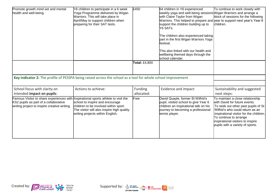| Promote growth mind set and mental<br>health and well-being.                                                                                                                | Y6 children to participate in a 6 week<br>Yoga Programme delivered by Wigan<br>Warriors. This will take place in<br>April/May to support children when<br>preparing for their SAT tests. | £450                  | 64 children in Y6 experienced<br>weekly yoga and well-being sessions Wigan Warriors and arrange a<br>with Claire Taylor from Wigan<br>Warriors. This helped to prepare and year to support next year's Year 6<br>support the children building up to<br>Y6 SATs.<br>The children also experienced taking<br>part in the first Wigan Warriors Yoga<br>festival.<br>This also linked with our health and<br>wellbeing themed days through the<br>school calendar. | To continue to work closely with<br>block of sessions for the following<br>children.                                                                                                                                                                                                       |
|-----------------------------------------------------------------------------------------------------------------------------------------------------------------------------|------------------------------------------------------------------------------------------------------------------------------------------------------------------------------------------|-----------------------|-----------------------------------------------------------------------------------------------------------------------------------------------------------------------------------------------------------------------------------------------------------------------------------------------------------------------------------------------------------------------------------------------------------------------------------------------------------------|--------------------------------------------------------------------------------------------------------------------------------------------------------------------------------------------------------------------------------------------------------------------------------------------|
|                                                                                                                                                                             |                                                                                                                                                                                          | Total: £4,800         |                                                                                                                                                                                                                                                                                                                                                                                                                                                                 |                                                                                                                                                                                                                                                                                            |
| Key indicator 2: The profile of PESSPA being raised across the school as a tool for whole school improvement                                                                |                                                                                                                                                                                          |                       |                                                                                                                                                                                                                                                                                                                                                                                                                                                                 |                                                                                                                                                                                                                                                                                            |
| School focus with clarity on<br>intended impact on pupils:                                                                                                                  | Actions to achieve:                                                                                                                                                                      | Funding<br>allocated: | Evidence and impact:                                                                                                                                                                                                                                                                                                                                                                                                                                            | Sustainability and suggested<br>next steps:                                                                                                                                                                                                                                                |
| Famous Visitor to share experiences with Inspirational sports athlete to visit the<br>KS2 pupils as part of a collaborative<br>writing project to inspire creative writing. | school to inspire and encourage<br>children to be involved within sport.<br>The visitor will also inspire high quality<br>writing projects within English.                               | Free                  | David Quayle, former St Wilfrid's<br>pupil, visited school to give Year 6<br>children an inspirational talk on his<br>journey to becoming a professional<br>tennis player.                                                                                                                                                                                                                                                                                      | To maintain a close relationship<br>with David for future events.<br>To seek out other past pupils of St<br>Wilfrid's who could return as an<br>inspirational visitor for the children.<br>To continue to arrange<br>inspirational visitors to inspire<br>pupils with a variety of sports. |



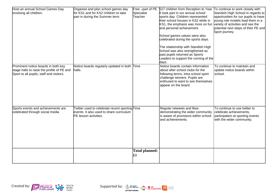| Host an annual School Games Day<br>involving all children.                                                                    | Organise and plan school games day<br>for KS1 and for KS2 children to take<br>part in during the Summer term.       | Specialist<br>Teacher       | Free -part of PE 527 children from Reception to Year To continue to work closely with<br>6 took part in our annual school<br>sports day. Children represented<br>their school houses in KS2 while in<br>KS1, the emphasis was more on fun<br>and personal achievement.<br>School games values were also<br>celebrated during the sports days.<br>The relationship with Standish High<br>School was also strengthened as<br>past pupils returned as Sports<br>Leaders to support the running of the<br>days. | Standish High School in regards to<br>opportunities for our pupils to have<br>young role models lead them in a<br>variety of activities and see the<br>potential next steps of their PE and<br>Sport journey. |
|-------------------------------------------------------------------------------------------------------------------------------|---------------------------------------------------------------------------------------------------------------------|-----------------------------|-------------------------------------------------------------------------------------------------------------------------------------------------------------------------------------------------------------------------------------------------------------------------------------------------------------------------------------------------------------------------------------------------------------------------------------------------------------------------------------------------------------|---------------------------------------------------------------------------------------------------------------------------------------------------------------------------------------------------------------|
| Prominent notice boards in both key<br>stage halls to raise the profile of PE and<br>Sport to all pupils, staff and visitors. | Notice boards regularly updated in both Time<br>halls.                                                              |                             | Notice boards contain information<br>about after school clubs for the<br>following terms, intra school sport<br>challenge winners. Pupils are<br>enthused to want to see themselves<br>appear on the board.                                                                                                                                                                                                                                                                                                 | To continue to maintain and<br>update notice boards within<br>school.                                                                                                                                         |
| Sports events and achievements are<br>celebrated through social media                                                         | Twitter used to celebrate recent sporting Time<br>events. It also used to share curriculum<br>PE lesson activities. |                             | Regular retweets and likes<br>demonstrating the wider community<br>is aware of provisions within school<br>and achievements.                                                                                                                                                                                                                                                                                                                                                                                | To continue to use twitter to<br>celebrate achievements,<br>participation at sporting events<br>with the wider community.                                                                                     |
|                                                                                                                               |                                                                                                                     | <b>Total planned:</b><br>£0 |                                                                                                                                                                                                                                                                                                                                                                                                                                                                                                             |                                                                                                                                                                                                               |



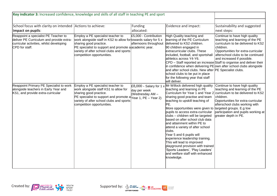| Key indicator 3: Increased confidence, knowledge and skills of all staff in teaching PE and sport                                              |                                                                                                                                                                                                                                                                                  |                                                              |                                                                                                                                                                                                                                                                                                                                                                                                                                                                                                                                                                                                                                                               |                                                                                                                                                                                                                                                                                                                                                                          |
|------------------------------------------------------------------------------------------------------------------------------------------------|----------------------------------------------------------------------------------------------------------------------------------------------------------------------------------------------------------------------------------------------------------------------------------|--------------------------------------------------------------|---------------------------------------------------------------------------------------------------------------------------------------------------------------------------------------------------------------------------------------------------------------------------------------------------------------------------------------------------------------------------------------------------------------------------------------------------------------------------------------------------------------------------------------------------------------------------------------------------------------------------------------------------------------|--------------------------------------------------------------------------------------------------------------------------------------------------------------------------------------------------------------------------------------------------------------------------------------------------------------------------------------------------------------------------|
|                                                                                                                                                |                                                                                                                                                                                                                                                                                  |                                                              |                                                                                                                                                                                                                                                                                                                                                                                                                                                                                                                                                                                                                                                               |                                                                                                                                                                                                                                                                                                                                                                          |
| School focus with clarity on intended Actions to achieve:<br>limpact on pupils:                                                                |                                                                                                                                                                                                                                                                                  | Funding<br>allocated:                                        | Evidence and impact:                                                                                                                                                                                                                                                                                                                                                                                                                                                                                                                                                                                                                                          | Sustainability and suggested<br>next steps:                                                                                                                                                                                                                                                                                                                              |
| Reappoint a specialist PE Teacher to<br>deliver PE Curriculum and provide extra-<br>curricular activities, whilst developing<br>CPD for staff. | Employ a PE specialist teacher to<br>work alongside staff in KS2 to allow for towards salary for 5 $x$<br>sharing good practice.<br>PE specialist to support and promote a academic year.<br>variety of after school clubs and sports<br>competition opportunities.              | £5,000 - Contribution<br>afternoons throughout               | High Quality teaching and<br>learning of the PE Curriculum<br>delivered to KS2 children.<br>90 children engaged in<br>extracurricular clubs. These<br>included, football, and sportshall<br>athletics across Y4-Y6.<br>and after school clubs. New after PE Specialist clubs.<br>school clubs to be put in place<br>for the following year that staff<br>will deliver.                                                                                                                                                                                                                                                                                        | Continue to have high quality<br>teaching and learning of the PE<br>curriculum to be delivered to KS2<br>children.<br>Opportunities for extra-curricular<br>afterschool clubs to be continued<br>and increased if possible.<br>CPD - Staff reported an increase Staff to organise and deliver their<br>in confidence when delivering PE own after school clubs alongside |
| Reappoint Primary PE Specialist to work<br>alongside teachers in Early Year and<br>KS1, and provide extra-curricular                           | Employ a PE specialist teacher to<br>work alongside staff KS1 to allow for<br>sharing good practice.<br>PE specialist to support and promote a $\gamma_{\texttt{ear 1, PE}} - \gamma_{\texttt{ear 2}}$<br>variety of after school clubs and sports<br>competition opportunities. | $£8,000$ - Salary for 1 x<br>day per week<br>(Wednesday AM - | Mr Willock delivered high quality<br>teaching and learning in PE<br>Curriculum for Year 1 and Year 2<br>sharing good practise and team<br>teaching to upskill teaching of<br>PE.<br>More opportunities were given to targeted groups. E.g low<br>pupils to access extra-curricular<br>clubs - children will be targeted<br>based on after school club data<br>and attainment within PE to<br>attend a variety of after school<br>clubs.<br>Year 5 and 6 pupils will<br>experience leadership training.<br>This will lead to improved<br>playground provision with trained<br>Sports Leaders', 'Play Leaders'<br>and welfare staff with enhanced<br>knowledge. | Continue to have high quality<br>teaching and learning of the PE<br>curriculum to be delivered to KS2<br>children.<br>Opportunities for extra-curricular<br>afterschool clubs working with<br>participation and pupils working at<br>greater depth in PE.                                                                                                                |

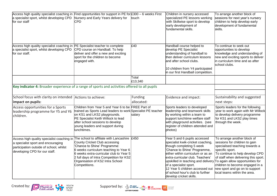| Access high quality specialist coaching in<br>a specialist sport, whilst developing CPD<br>for our staff                                                     | Find opportunities for support in PE for £300 - 6 weeks First<br>Nursery and Early Years delivery for<br>CPD                                                                                                                                                                                       | ltouch                | Children in nursery accessed<br>specialized PE lessons working<br>with Skillwise sport to develop<br>early development of<br>fundamental skills.                                                                                                                                                                                                                                                          | To arrange another block of<br>sessions for next year's nursery<br>children to help develop early<br>development of fundamental<br>skills.                                                                                                                                                        |
|--------------------------------------------------------------------------------------------------------------------------------------------------------------|----------------------------------------------------------------------------------------------------------------------------------------------------------------------------------------------------------------------------------------------------------------------------------------------------|-----------------------|-----------------------------------------------------------------------------------------------------------------------------------------------------------------------------------------------------------------------------------------------------------------------------------------------------------------------------------------------------------------------------------------------------------|---------------------------------------------------------------------------------------------------------------------------------------------------------------------------------------------------------------------------------------------------------------------------------------------------|
| Access high quality specialist coaching in PE Specialist teacher to complete<br>a specialist sport, whilst developing CPD<br>for our staff.                  | CPD course on Handball. To help<br>deliver and offer a new and exciting<br>sport for the children to become<br>engaged with.                                                                                                                                                                       | £40                   | Handball course helped to<br>develop PE Specialist<br>understanding of handball to<br>then deliver curriculum lessons<br>and after school clubs.<br>10 children from Y4 participated<br>in our first Handball competition.                                                                                                                                                                                | To continue to seek out<br>opportunities to develop<br>knowledge and understanding of<br>new and exciting sports to deliver<br>in curriculum time and as after<br>school clubs.                                                                                                                   |
|                                                                                                                                                              |                                                                                                                                                                                                                                                                                                    | Total<br>£13,340      |                                                                                                                                                                                                                                                                                                                                                                                                           |                                                                                                                                                                                                                                                                                                   |
| Key indicator 4: Broader experience of a range of sports and activities offered to all pupils                                                                |                                                                                                                                                                                                                                                                                                    |                       |                                                                                                                                                                                                                                                                                                                                                                                                           |                                                                                                                                                                                                                                                                                                   |
|                                                                                                                                                              |                                                                                                                                                                                                                                                                                                    |                       |                                                                                                                                                                                                                                                                                                                                                                                                           |                                                                                                                                                                                                                                                                                                   |
| School focus with clarity on intended Actions to achieve:<br>impact on pupils:                                                                               |                                                                                                                                                                                                                                                                                                    | Funding<br>allocated: | Evidence and impact:                                                                                                                                                                                                                                                                                                                                                                                      | Sustainability and suggested<br>next steps:                                                                                                                                                                                                                                                       |
| Access opportunities for a Sports<br>leadership programme for Y5 and Y6<br>children.                                                                         | Children from Year 5 and Year 6 to be FREE Part of<br>trained as Sports Lead leaders to work Specialist PE teacher<br>on KS1 and LKS2 playgrounds.<br>PE Specialist Keith Willock to lead<br>after school sessions to develop<br>young leaders and support during<br>unchtimes.                    | salary                | Sports leaders to developed<br>leadership and teamwork skills<br>by working within a team to<br>support lunchtime welfare staff<br>with playground activities. (see<br>register of children attended and<br>photos)                                                                                                                                                                                       | Sports leaders for the following<br>year to work again with Mr Willock<br>to develop delivery programme<br>for KS1 and LKS2 play times<br>through the week.                                                                                                                                       |
| Access high quality specialist coaching in<br>a specialist sport and encouraging<br>participation outside of school, whilst<br>developing CPD for our staff. | The school to affiliate with Lancashire £450<br>County Cricket Club accessing<br>'Chance to Shine' Programme:<br>6 weeks curriculum teaching to Year 6<br>6 weeks extra-curricular club to Year 5<br>2 full days of Intra Competition for KS2<br>Organisation of KS2 Intra School<br>Competitions. |                       | Year 5 and 6 pupils accessed<br>specialist kwik-cricket coaching,<br>though completing 5 week<br>'Chance to Shine' Programme,<br>either within curriculum or as an<br>extra-curricular club. Teachers'<br>upskilled in teaching and delivery To again allow opportunities for<br>of a specialist sport.<br>12 Year 5 children accessed out<br>of school hour's club to further<br>develop cricket skills. | To arrange another block of<br>sessions for children to gain<br>specialised teaching towards a<br>specific sport.<br>To continue to help develop CPD<br>of staff when delivering this sport.<br>children to become engaged in a<br>new sport and go on to support<br>local teams within the area. |



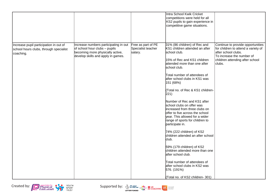|                                                                                               |                                                                                                                                                  |                                                     | Intra School Kwik Cricket<br>competitions were held for all<br>KS2 pupils to gain experience in<br>competitive game situations.                                                                                                                                                                                                                                                                                                                                                                                                                                                                                                                                                                                                                                                                       |                                                                                                                                                                           |
|-----------------------------------------------------------------------------------------------|--------------------------------------------------------------------------------------------------------------------------------------------------|-----------------------------------------------------|-------------------------------------------------------------------------------------------------------------------------------------------------------------------------------------------------------------------------------------------------------------------------------------------------------------------------------------------------------------------------------------------------------------------------------------------------------------------------------------------------------------------------------------------------------------------------------------------------------------------------------------------------------------------------------------------------------------------------------------------------------------------------------------------------------|---------------------------------------------------------------------------------------------------------------------------------------------------------------------------|
| Increase pupil participation in out of<br>school hours clubs, through specialist<br>coaching. | Increase numbers participating in out<br>of school hour clubs - pupils<br>becoming more physically active,<br>develop skills and apply in games. | Free as part of PE<br>Specialist teacher<br>salary. | 31% (86 children) of Rec and<br>KS1 children attended an after<br>school club.<br>15% of Rec and KS1 children<br>attended more than one after<br>school club.<br>Total number of attendees of<br>after school clubs in KS1 was<br>151 (68%)<br>(Total no. of Rec & KS1 children-<br>221)<br>Number of Rec and KS1 after<br>school clubs on offer was<br>increased from three clubs on<br>offer to five across the school<br>year. This allowed for a wider<br>range of sports for children to<br>participate in.<br>74% (222 children) of KS2<br>children attended an after school<br>club.<br>59% (179 children) of KS2<br>children attended more than one<br>after school club.<br>Total number of attendees of<br>after school clubs in KS2 was<br>576. (191%)<br>(Total no. of KS2 children- 301) | Continue to provide opportunities<br>for children to attend a variety of<br>after school clubs.<br>To increase the number of<br>children attending after school<br>clubs. |

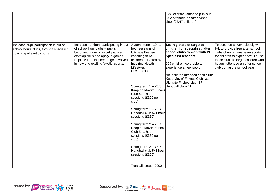|                                                                                                                |                                                                                                                                                                                                                                     |                                                                                                                                                                                                                                                                                                                                                                                                                                                                                                                                          | 57% of disadvantaged pupils in<br>KS2 attended an after school<br>club. (26/47 children)                                                                                                                                                                                                          |                                                                                                                                                                                                                                                       |
|----------------------------------------------------------------------------------------------------------------|-------------------------------------------------------------------------------------------------------------------------------------------------------------------------------------------------------------------------------------|------------------------------------------------------------------------------------------------------------------------------------------------------------------------------------------------------------------------------------------------------------------------------------------------------------------------------------------------------------------------------------------------------------------------------------------------------------------------------------------------------------------------------------------|---------------------------------------------------------------------------------------------------------------------------------------------------------------------------------------------------------------------------------------------------------------------------------------------------|-------------------------------------------------------------------------------------------------------------------------------------------------------------------------------------------------------------------------------------------------------|
| Increase pupil participation in out of<br>school hours clubs, through specialist<br>coaching of exotic sports. | Increase numbers participating in out<br>of school hour clubs - pupils<br>becoming more physically active,<br>develop skills and apply in games.<br>Pupils will be inspired to get involved<br>in new and exciting 'exotic' sports. | Autumn term - 10x 1<br>hour sessions of<br>Ultimate Frisbee<br>coaching to KS2<br>children delivered by<br>Inspiring Health<br>Lifestyles<br>COST: £300<br>Spring term $1 - Y5/6$<br>Keep on Movin' Fitness<br>Club 4x 1 hour<br>sessions (£120 per<br>club)<br>Spring term $1 - Y3/4$<br>Handball club 5x1 hour<br>sessions (£150)<br>Spring term $2 - Y3/4$<br>Keep on Movin' Fitness<br>Club 5x 1 hour<br>sessions (£150 per<br>club)<br>Spring term $2 - Y5/6$<br>Handball club 5x1 hour<br>sessions (£150)<br>Total allocated- £900 | See registers of targeted<br>children for specialised after<br>school clubs to work with PE<br>Specialist teachers.<br>109 children were able to<br>experience a new sport.<br>No. children attended each club:<br>Keep Movin' Fitness Club- 31<br>Ultimate Frisbee club- 37<br>Handball club- 41 | To continue to work closely with<br>IHL to provide free after school<br>clubs of non-mainstream sports<br>for children to experience. To use<br>these clubs to target children who<br>haven't attended an after school<br>club during the school year |



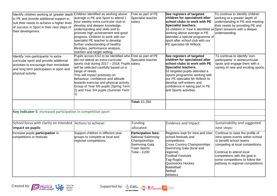| Identify children working at 'greater depth'<br>in PE and provide additional support to<br>suit their needs to achieve a higher level<br>of success in Sport in their next steps of<br>their development. | Children identified as working above<br>average in PE and Sport to attend 1<br>hour weekly extra-curricular club to<br>develop and deepen knowledge,<br>understanding and skills and to<br>promote high achievement and good<br>progress. Children to work with our<br>specialist PE teacher to develop<br>further understanding of healthy<br>lifestyles, performance analysis,<br>nutrition and target setting. | Free as part of PE<br>Specialist teacher<br>salary.                                                                | See registers of targeted<br>children for specialised after<br>school clubs to work with PE<br>Specialist teachers.<br>16 children in Year 6 identified as Sport sessions with a deeper<br>working above average in PE<br>attended a special programme of<br>sport after school club with our<br>PE specialist Mr Willock. | To continue to identify children<br>working at a greater depth of<br>understanding in PE and meeting<br>their needs by providing PE and<br>understanding.                                                                                                                |
|-----------------------------------------------------------------------------------------------------------------------------------------------------------------------------------------------------------|-------------------------------------------------------------------------------------------------------------------------------------------------------------------------------------------------------------------------------------------------------------------------------------------------------------------------------------------------------------------------------------------------------------------|--------------------------------------------------------------------------------------------------------------------|----------------------------------------------------------------------------------------------------------------------------------------------------------------------------------------------------------------------------------------------------------------------------------------------------------------------------|--------------------------------------------------------------------------------------------------------------------------------------------------------------------------------------------------------------------------------------------------------------------------|
| Identify 'non-participants' in extra-<br>curricular sport and provide additional<br>activities to encourage their immediate<br>and long term participation in sport and<br>physical activity.             | Pupils across KS2 to be identified who Free as part of PE<br>did not attend an extra-curricular<br>sports club during 2017 - 2018. Pupils salary.<br>will be selected carefully based on a<br>range of needs.<br>This will impact positively on<br>behaviour, confidence and attitude<br>towards exercise and physical activity.<br>Group of Year 5/6 pupils (Spring Term<br>2) and Year 3/4 pupils (Summer Term  | Specialist teacher                                                                                                 | See registers of targeted<br>children for specialised after<br>school clubs to work with PE<br>Specialist teachers.<br>53 targeted pupils attended a<br>Sports programme working with<br>our PE specialist Mr Willock to<br>develop self-esteem and<br>confidence in taking part in PE<br>and Sports activities.           | To continue to identify 'non-<br>participants' in extracurricular<br>spots and engage them with a<br>variety of new and exciting sports.                                                                                                                                 |
|                                                                                                                                                                                                           |                                                                                                                                                                                                                                                                                                                                                                                                                   | Total: £1,350                                                                                                      |                                                                                                                                                                                                                                                                                                                            |                                                                                                                                                                                                                                                                          |
| Key indicator 5: Increased participation in competitive sport                                                                                                                                             |                                                                                                                                                                                                                                                                                                                                                                                                                   |                                                                                                                    |                                                                                                                                                                                                                                                                                                                            |                                                                                                                                                                                                                                                                          |
| School focus with clarity on intended<br>impact on pupils:                                                                                                                                                | Actions to achieve:                                                                                                                                                                                                                                                                                                                                                                                               | <b>Funding</b><br>allocated:                                                                                       | Evidence and impact:                                                                                                                                                                                                                                                                                                       | Sustainability and suggested<br>next steps:                                                                                                                                                                                                                              |
| Increase pupils participation in<br>competitions or festivals                                                                                                                                             | Support children in different year<br>groups to compete at local and<br>regional competitions.                                                                                                                                                                                                                                                                                                                    | <b>Participation fees:</b><br>National Swimming<br>Championships<br>Swimming Gala<br>Town Sports<br>Total $-$ £200 | Registers kept for intra and inter<br>school festivals and<br>competitions:<br><b>Cross Country Championships</b><br>Swimming Gala (local and<br>regional)<br>Football Festivals<br>Tag-Rugby<br>Quicksticks Hockey<br>Basketball<br>Netball<br>Athletics                                                                  | Continue to raise the profile of<br>intra sports events within school<br>to benefit school teams<br>competing at local competitions.<br>Continue to attend local<br>competitions with the goal in<br>some competitions to follow the<br>pathway to regional competitions |



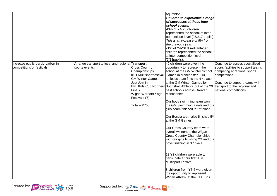|                                                               |                                                                      |                                                                                                                                                                               | Aquathlon<br>Children to experience a range<br>of successes at these inter-<br>school events.<br>43% of Y4-Y6 children<br>represented the school at inter<br>competition level (95/217 pupils).<br>This is an increase of 8% from<br>the previous year.<br>21% of Y4-Y6 disadvantaged<br>children represented the school<br>at inter competition level<br>$(7/33$ pupils).                                                                                                                                                                                                                                                                                                                                                                                                                                                                                                        |                                                                                                                                                                                                                    |
|---------------------------------------------------------------|----------------------------------------------------------------------|-------------------------------------------------------------------------------------------------------------------------------------------------------------------------------|-----------------------------------------------------------------------------------------------------------------------------------------------------------------------------------------------------------------------------------------------------------------------------------------------------------------------------------------------------------------------------------------------------------------------------------------------------------------------------------------------------------------------------------------------------------------------------------------------------------------------------------------------------------------------------------------------------------------------------------------------------------------------------------------------------------------------------------------------------------------------------------|--------------------------------------------------------------------------------------------------------------------------------------------------------------------------------------------------------------------|
| Increase pupils participation in<br>competitions or festivals | Arrange transport to local and regional Transport:<br>sports events. | <b>Cross Country</b><br>Championships<br>KS1 Multisport festival<br><b>GM Winter Games</b><br>Just Join in<br>Finals.<br>Wigan Warriors Yoga<br>Festival (Y6)<br>Total - £700 | 40 children were given the<br>opportunity to represent the<br>school at the GM Winter School<br>Games in Manchester. Our<br>athletics team finished 4 <sup>th</sup> place<br>at the GM Winter Games for<br>EFL Kids Cup Northern Sportshall Athletics out of the 20<br>best schools across Greater<br>Manchester.<br>Our boys swimming team won<br>the GM Swimming Finals and our<br>girls' team finished in 2 <sup>nd</sup> place.<br>Our Boccia team also finished 5th<br>at the GM Games.<br>Our Cross Country team were<br>overall winners of the Wigan<br><b>Cross Country Championships</b><br>with our girls finishing 2 <sup>nd</sup> and our<br>boys finishing in 3rd place.<br>12 Y2 children were able to<br>participate at our first KS1<br>Multisport Festival.<br>8 children from Y5-6 were given<br>the opportunity to represent<br>Wigan Athletic at the EFL Kids | Continue to access specialised<br>sports facilities to support teams<br>competing at regional sports<br>competitions.<br>Continue to support teams with<br>transport to the regional and<br>national competitions. |

Created by: Physical Physical Supported by:  $\frac{1}{2}$  Concrete  $\frac{1}{2}$  Concrete  $\frac{1}{2}$  Concrete  $\frac{1}{2}$  Concrete  $\frac{1}{2}$  Concrete  $\frac{1}{2}$  Concrete  $\frac{1}{2}$  Concrete  $\frac{1}{2}$  Concrete  $\frac{1}{2}$  Concrete  $\frac{1}{2$